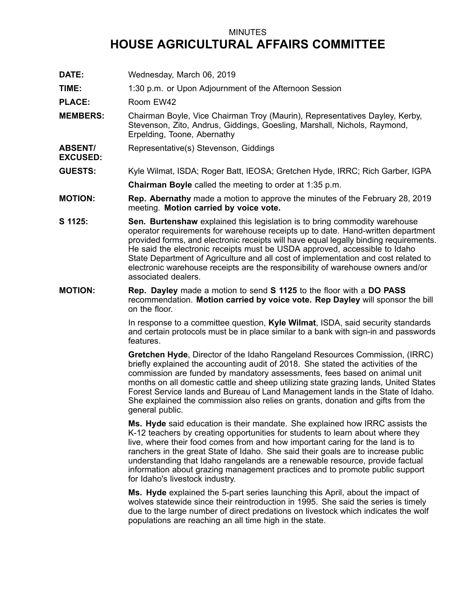## MINUTES **HOUSE AGRICULTURAL AFFAIRS COMMITTEE**

**DATE:** Wednesday, March 06, 2019

**TIME:** 1:30 p.m. or Upon Adjournment of the Afternoon Session

PLACE: Room EW42

**EXCUSED:**

- **MEMBERS:** Chairman Boyle, Vice Chairman Troy (Maurin), Representatives Dayley, Kerby, Stevenson, Zito, Andrus, Giddings, Goesling, Marshall, Nichols, Raymond, Erpelding, Toone, Abernathy
- **ABSENT/** Representative(s) Stevenson, Giddings
- **GUESTS:** Kyle Wilmat, ISDA; Roger Batt, IEOSA; Gretchen Hyde, IRRC; Rich Garber, IGPA **Chairman Boyle** called the meeting to order at 1:35 p.m.
- **MOTION: Rep. Abernathy** made <sup>a</sup> motion to approve the minutes of the February 28, 2019 meeting. **Motion carried by voice vote.**
- **S 1125: Sen. Burtenshaw** explained this legislation is to bring commodity warehouse operator requirements for warehouse receipts up to date. Hand-written department provided forms, and electronic receipts will have equal legally binding requirements. He said the electronic receipts must be USDA approved, accessible to Idaho State Department of Agriculture and all cost of implementation and cost related to electronic warehouse receipts are the responsibility of warehouse owners and/or associated dealers.
- **MOTION: Rep. Dayley** made <sup>a</sup> motion to send **S 1125** to the floor with <sup>a</sup> **DO PASS** recommendation. **Motion carried by voice vote. Rep Dayley** will sponsor the bill on the floor.

In response to <sup>a</sup> committee question, **Kyle Wilmat**, ISDA, said security standards and certain protocols must be in place similar to <sup>a</sup> bank with sign-in and passwords features.

**Gretchen Hyde**, Director of the Idaho Rangeland Resources Commission, (IRRC) briefly explained the accounting audit of 2018. She stated the activities of the commission are funded by mandatory assessments, fees based on animal unit months on all domestic cattle and sheep utilizing state grazing lands, United States Forest Service lands and Bureau of Land Management lands in the State of Idaho. She explained the commission also relies on grants, donation and gifts from the general public.

**Ms. Hyde** said education is their mandate. She explained how IRRC assists the K-12 teachers by creating opportunities for students to learn about where they live, where their food comes from and how important caring for the land is to ranchers in the great State of Idaho. She said their goals are to increase public understanding that Idaho rangelands are <sup>a</sup> renewable resource, provide factual information about grazing management practices and to promote public support for Idaho's livestock industry.

**Ms. Hyde** explained the 5-part series launching this April, about the impact of wolves statewide since their reintroduction in 1995. She said the series is timely due to the large number of direct predations on livestock which indicates the wolf populations are reaching an all time high in the state.